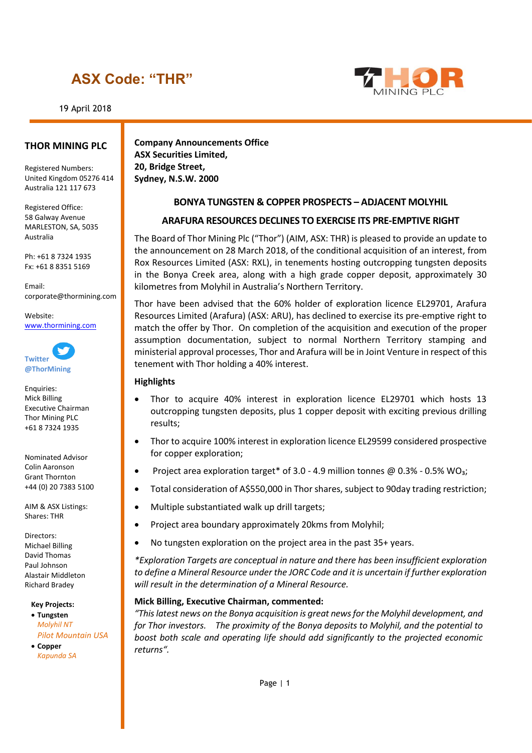19 April 2018



#### **THOR MINING PLC**

Registered Numbers: United Kingdom 05276 414 Australia 121 117 673

Registered Office: 58 Galway Avenue MARLESTON, SA, 5035 Australia

Ph: +61 8 7324 1935 Fx: +61 8 8351 5169

Email: corporate@thormining.com

Website: [www.thormining.com](http://www.thormining.com/)



Enquiries: Mick Billing Executive Chairman Thor Mining PLC +61 8 7324 1935

Nominated Advisor Colin Aaronson Grant Thornton +44 (0) 20 7383 5100

AIM & ASX Listings: Shares: THR

Directors: Michael Billing David Thomas Paul Johnson Alastair Middleton Richard Bradey

**Key Projects:**

• **Tungsten** *Molyhil NT Pilot Mountain USA*

• **Copper** *Kapunda SA*

**Company Announcements Office ASX Securities Limited, 20, Bridge Street, Sydney, N.S.W. 2000**

### **BONYA TUNGSTEN & COPPER PROSPECTS – ADJACENT MOLYHIL**

#### **ARAFURA RESOURCES DECLINES TO EXERCISE ITS PRE-EMPTIVE RIGHT**

The Board of Thor Mining Plc ("Thor") (AIM, ASX: THR) is pleased to provide an update to the announcement on 28 March 2018, of the conditional acquisition of an interest, from Rox Resources Limited (ASX: RXL), in tenements hosting outcropping tungsten deposits in the Bonya Creek area, along with a high grade copper deposit, approximately 30 kilometres from Molyhil in Australia's Northern Territory.

Thor have been advised that the 60% holder of exploration licence EL29701, Arafura Resources Limited (Arafura) (ASX: ARU), has declined to exercise its pre-emptive right to match the offer by Thor. On completion of the acquisition and execution of the proper assumption documentation, subject to normal Northern Territory stamping and ministerial approval processes, Thor and Arafura will be in Joint Venture in respect of this tenement with Thor holding a 40% interest.

#### **Highlights**

- Thor to acquire 40% interest in exploration licence EL29701 which hosts 13 outcropping tungsten deposits, plus 1 copper deposit with exciting previous drilling results;
- Thor to acquire 100% interest in exploration licence EL29599 considered prospective for copper exploration;
- Project area exploration target\* of 3.0 4.9 million tonnes  $\omega$  0.3% 0.5% WO<sub>3</sub>;
- Total consideration of A\$550,000 in Thor shares, subject to 90day trading restriction;
- Multiple substantiated walk up drill targets;
- Project area boundary approximately 20kms from Molyhil;
- No tungsten exploration on the project area in the past 35+ years.

*\*Exploration Targets are conceptual in nature and there has been insufficient exploration to define a Mineral Resource under the JORC Code and it is uncertain if further exploration will result in the determination of a Mineral Resource.*

#### **Mick Billing, Executive Chairman, commented:**

*"This latest news on the Bonya acquisition is great news for the Molyhil development, and for Thor investors. The proximity of the Bonya deposits to Molyhil, and the potential to boost both scale and operating life should add significantly to the projected economic returns".*

Page | 1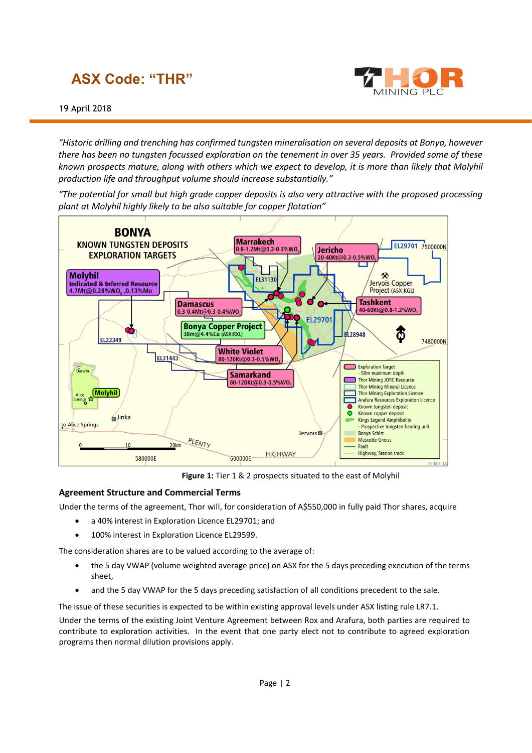

*"Historic drilling and trenching has confirmed tungsten mineralisation on several deposits at Bonya, however there has been no tungsten focussed exploration on the tenement in over 35 years. Provided some of these known prospects mature, along with others which we expect to develop, it is more than likely that Molyhil production life and throughput volume should increase substantially."*

*"The potential for small but high grade copper deposits is also very attractive with the proposed processing plant at Molyhil highly likely to be also suitable for copper flotation"*



**Figure 1:** Tier 1 & 2 prospects situated to the east of Molyhil

### **Agreement Structure and Commercial Terms**

Under the terms of the agreement, Thor will, for consideration of A\$550,000 in fully paid Thor shares, acquire

- a 40% interest in Exploration Licence EL29701; and
- 100% interest in Exploration Licence EL29599.

The consideration shares are to be valued according to the average of:

- the 5 day VWAP (volume weighted average price) on ASX for the 5 days preceding execution of the terms sheet,
- and the 5 day VWAP for the 5 days preceding satisfaction of all conditions precedent to the sale.

The issue of these securities is expected to be within existing approval levels under ASX listing rule LR7.1.

Under the terms of the existing Joint Venture Agreement between Rox and Arafura, both parties are required to contribute to exploration activities. In the event that one party elect not to contribute to agreed exploration programs then normal dilution provisions apply.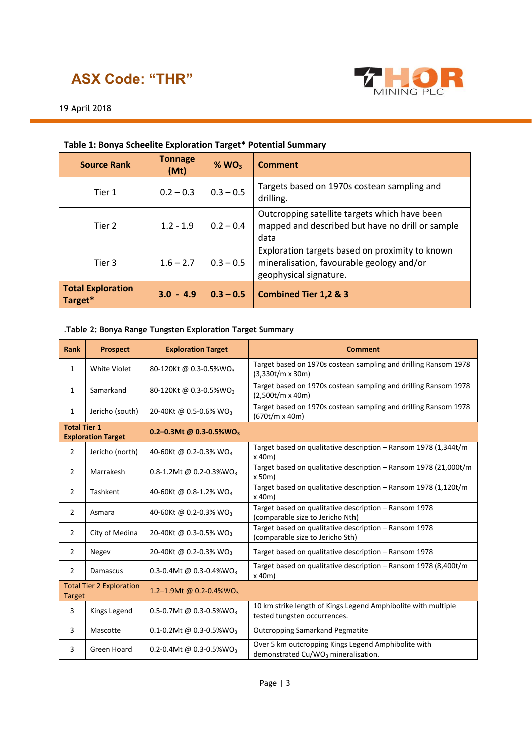

### 19 April 2018

| <b>Source Rank</b>                  | <b>Tonnage</b><br>(Mt) | $%$ WO <sub>3</sub> | Comment                                                                                                                |
|-------------------------------------|------------------------|---------------------|------------------------------------------------------------------------------------------------------------------------|
| Tier 1                              | $0.2 - 0.3$            | $0.3 - 0.5$         | Targets based on 1970s costean sampling and<br>drilling.                                                               |
| Tier 2                              | $1.2 - 1.9$            | $0.2 - 0.4$         | Outcropping satellite targets which have been<br>mapped and described but have no drill or sample<br>data              |
| Tier 3                              | $1.6 - 2.7$            | $0.3 - 0.5$         | Exploration targets based on proximity to known<br>mineralisation, favourable geology and/or<br>geophysical signature. |
| <b>Total Exploration</b><br>Target* | $3.0 - 4.9$            | $0.3 - 0.5$         | <b>Combined Tier 1,2 &amp; 3</b>                                                                                       |

### **Table 1: Bonya Scheelite Exploration Target\* Potential Summary**

#### .**Table 2: Bonya Range Tungsten Exploration Target Summary**

| <b>Rank</b>                                                                             | <b>Prospect</b>                 | <b>Exploration Target</b>           | <b>Comment</b>                                                                                         |
|-----------------------------------------------------------------------------------------|---------------------------------|-------------------------------------|--------------------------------------------------------------------------------------------------------|
| 1                                                                                       | <b>White Violet</b>             | 80-120Kt @ 0.3-0.5%WO3              | Target based on 1970s costean sampling and drilling Ransom 1978<br>(3,330t/m x 30m)                    |
| 1                                                                                       | Samarkand                       | 80-120Kt @ 0.3-0.5%WO3              | Target based on 1970s costean sampling and drilling Ransom 1978<br>(2,500t/m x 40m)                    |
| 1                                                                                       | Jericho (south)                 | 20-40Kt @ 0.5-0.6% WO <sub>3</sub>  | Target based on 1970s costean sampling and drilling Ransom 1978<br>(670t/m x 40m)                      |
| <b>Total Tier 1</b><br>0.2-0.3Mt @ 0.3-0.5%WO <sub>3</sub><br><b>Exploration Target</b> |                                 |                                     |                                                                                                        |
| $\overline{2}$                                                                          | Jericho (north)                 | 40-60Kt @ 0.2-0.3% WO <sub>3</sub>  | Target based on qualitative description - Ransom 1978 (1,344t/m<br>x 40m                               |
| $\overline{2}$                                                                          | Marrakesh                       | 0.8-1.2Mt @ 0.2-0.3%WO <sub>3</sub> | Target based on qualitative description - Ransom 1978 (21,000t/m<br>x 50m)                             |
| 2                                                                                       | Tashkent                        | 40-60Kt @ 0.8-1.2% WO <sub>3</sub>  | Target based on qualitative description - Ransom 1978 (1,120t/m<br>x 40m                               |
| 2                                                                                       | Asmara                          | 40-60Kt @ 0.2-0.3% WO <sub>3</sub>  | Target based on qualitative description - Ransom 1978<br>(comparable size to Jericho Nth)              |
| $\overline{2}$                                                                          | City of Medina                  | 20-40Kt @ 0.3-0.5% WO <sub>3</sub>  | Target based on qualitative description - Ransom 1978<br>(comparable size to Jericho Sth)              |
| 2                                                                                       | Negev                           | 20-40Kt @ 0.2-0.3% WO <sub>3</sub>  | Target based on qualitative description - Ransom 1978                                                  |
| $\overline{2}$                                                                          | Damascus                        | 0.3-0.4Mt @ 0.3-0.4%WO <sub>3</sub> | Target based on qualitative description - Ransom 1978 (8,400t/m<br>$x$ 40m)                            |
| <b>Target</b>                                                                           | <b>Total Tier 2 Exploration</b> | 1.2-1.9Mt @ 0.2-0.4%WO <sub>3</sub> |                                                                                                        |
| 3                                                                                       | <b>Kings Legend</b>             | 0.5-0.7Mt @ 0.3-0.5%WO <sub>3</sub> | 10 km strike length of Kings Legend Amphibolite with multiple<br>tested tungsten occurrences.          |
| 3                                                                                       | Mascotte                        | 0.1-0.2Mt @ 0.3-0.5%WO <sub>3</sub> | <b>Outcropping Samarkand Pegmatite</b>                                                                 |
| 3                                                                                       | Green Hoard                     | 0.2-0.4Mt @ 0.3-0.5%WO <sub>3</sub> | Over 5 km outcropping Kings Legend Amphibolite with<br>demonstrated Cu/WO <sub>3</sub> mineralisation. |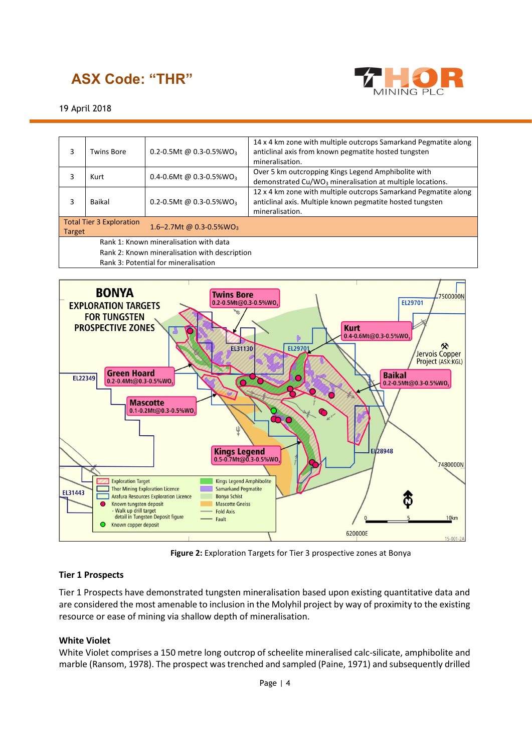

19 April 2018

| 3                                             | <b>Twins Bore</b>                    | 0.2-0.5Mt @ 0.3-0.5%WO <sub>3</sub> | 14 x 4 km zone with multiple outcrops Samarkand Pegmatite along<br>anticlinal axis from known pegmatite hosted tungsten<br>mineralisation.      |  |  |
|-----------------------------------------------|--------------------------------------|-------------------------------------|-------------------------------------------------------------------------------------------------------------------------------------------------|--|--|
| 3                                             | Kurt                                 | 0.4-0.6Mt @ 0.3-0.5%WO <sub>3</sub> | Over 5 km outcropping Kings Legend Amphibolite with<br>demonstrated $Cu/WO3$ mineralisation at multiple locations.                              |  |  |
| 3                                             | Baikal                               | 0.2-0.5Mt @ 0.3-0.5%WO <sub>3</sub> | 12 x 4 km zone with multiple outcrops Samarkand Pegmatite along<br>anticlinal axis. Multiple known pegmatite hosted tungsten<br>mineralisation. |  |  |
| <b>Target</b>                                 | <b>Total Tier 3 Exploration</b>      | 1.6-2.7Mt @ 0.3-0.5%WO <sub>3</sub> |                                                                                                                                                 |  |  |
| Rank 1: Known mineralisation with data        |                                      |                                     |                                                                                                                                                 |  |  |
| Rank 2: Known mineralisation with description |                                      |                                     |                                                                                                                                                 |  |  |
|                                               | Rank 3: Potential for mineralisation |                                     |                                                                                                                                                 |  |  |



**Figure 2:** Exploration Targets for Tier 3 prospective zones at Bonya

### **Tier 1 Prospects**

Tier 1 Prospects have demonstrated tungsten mineralisation based upon existing quantitative data and are considered the most amenable to inclusion in the Molyhil project by way of proximity to the existing resource or ease of mining via shallow depth of mineralisation.

### **White Violet**

White Violet comprises a 150 metre long outcrop of scheelite mineralised calc-silicate, amphibolite and marble (Ransom, 1978). The prospect was trenched and sampled (Paine, 1971) and subsequently drilled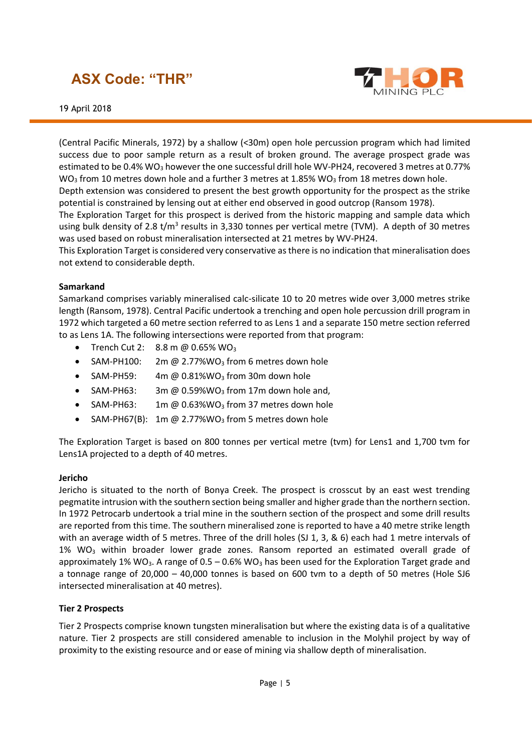



(Central Pacific Minerals, 1972) by a shallow (<30m) open hole percussion program which had limited success due to poor sample return as a result of broken ground. The average prospect grade was estimated to be 0.4% WO<sub>3</sub> however the one successful drill hole WV-PH24, recovered 3 metres at 0.77% WO<sub>3</sub> from 10 metres down hole and a further 3 metres at 1.85% WO<sub>3</sub> from 18 metres down hole.

Depth extension was considered to present the best growth opportunity for the prospect as the strike potential is constrained by lensing out at either end observed in good outcrop (Ransom 1978).

The Exploration Target for this prospect is derived from the historic mapping and sample data which using bulk density of 2.8 t/m<sup>3</sup> results in 3,330 tonnes per vertical metre (TVM). A depth of 30 metres was used based on robust mineralisation intersected at 21 metres by WV-PH24.

This Exploration Target is considered very conservative as there is no indication that mineralisation does not extend to considerable depth.

#### **Samarkand**

Samarkand comprises variably mineralised calc-silicate 10 to 20 metres wide over 3,000 metres strike length (Ransom, 1978). Central Pacific undertook a trenching and open hole percussion drill program in 1972 which targeted a 60 metre section referred to as Lens 1 and a separate 150 metre section referred to as Lens 1A. The following intersections were reported from that program:

- Trench Cut 2:  $8.8 \text{ m} \text{ } @$  0.65% WO<sub>3</sub>
- SAM-PH100: 2m  $@$  2.77%WO<sub>3</sub> from 6 metres down hole
- SAM-PH59:  $4m \omega 0.81\%$ WO<sub>3</sub> from 30m down hole
- SAM-PH63: 3m @  $0.59\%$ WO<sub>3</sub> from 17m down hole and,
- SAM-PH63:  $1m \omega 0.63\%$ WO<sub>3</sub> from 37 metres down hole
- SAM-PH67(B): 1m @ 2.77%WO<sub>3</sub> from 5 metres down hole

The Exploration Target is based on 800 tonnes per vertical metre (tvm) for Lens1 and 1,700 tvm for Lens1A projected to a depth of 40 metres.

#### **Jericho**

Jericho is situated to the north of Bonya Creek. The prospect is crosscut by an east west trending pegmatite intrusion with the southern section being smaller and higher grade than the northern section. In 1972 Petrocarb undertook a trial mine in the southern section of the prospect and some drill results are reported from this time. The southern mineralised zone is reported to have a 40 metre strike length with an average width of 5 metres. Three of the drill holes (SJ 1, 3, & 6) each had 1 metre intervals of 1% WO<sub>3</sub> within broader lower grade zones. Ransom reported an estimated overall grade of approximately 1% WO<sub>3</sub>. A range of  $0.5 - 0.6\%$  WO<sub>3</sub> has been used for the Exploration Target grade and a tonnage range of 20,000 – 40,000 tonnes is based on 600 tvm to a depth of 50 metres (Hole SJ6 intersected mineralisation at 40 metres).

#### **Tier 2 Prospects**

Tier 2 Prospects comprise known tungsten mineralisation but where the existing data is of a qualitative nature. Tier 2 prospects are still considered amenable to inclusion in the Molyhil project by way of proximity to the existing resource and or ease of mining via shallow depth of mineralisation.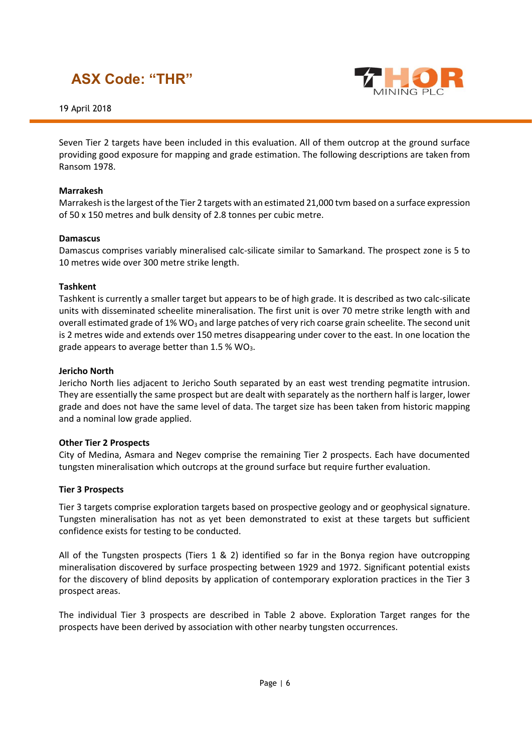



Seven Tier 2 targets have been included in this evaluation. All of them outcrop at the ground surface providing good exposure for mapping and grade estimation. The following descriptions are taken from Ransom 1978.

### **Marrakesh**

Marrakesh is the largest of the Tier 2 targets with an estimated 21,000 tvm based on a surface expression of 50 x 150 metres and bulk density of 2.8 tonnes per cubic metre.

#### **Damascus**

Damascus comprises variably mineralised calc-silicate similar to Samarkand. The prospect zone is 5 to 10 metres wide over 300 metre strike length.

#### **Tashkent**

Tashkent is currently a smaller target but appears to be of high grade. It is described as two calc-silicate units with disseminated scheelite mineralisation. The first unit is over 70 metre strike length with and overall estimated grade of 1% WO<sub>3</sub> and large patches of very rich coarse grain scheelite. The second unit is 2 metres wide and extends over 150 metres disappearing under cover to the east. In one location the grade appears to average better than  $1.5$  % WO<sub>3</sub>.

#### **Jericho North**

Jericho North lies adjacent to Jericho South separated by an east west trending pegmatite intrusion. They are essentially the same prospect but are dealt with separately as the northern half is larger, lower grade and does not have the same level of data. The target size has been taken from historic mapping and a nominal low grade applied.

#### **Other Tier 2 Prospects**

City of Medina, Asmara and Negev comprise the remaining Tier 2 prospects. Each have documented tungsten mineralisation which outcrops at the ground surface but require further evaluation.

#### **Tier 3 Prospects**

Tier 3 targets comprise exploration targets based on prospective geology and or geophysical signature. Tungsten mineralisation has not as yet been demonstrated to exist at these targets but sufficient confidence exists for testing to be conducted.

All of the Tungsten prospects (Tiers 1 & 2) identified so far in the Bonya region have outcropping mineralisation discovered by surface prospecting between 1929 and 1972. Significant potential exists for the discovery of blind deposits by application of contemporary exploration practices in the Tier 3 prospect areas.

The individual Tier 3 prospects are described in Table 2 above. Exploration Target ranges for the prospects have been derived by association with other nearby tungsten occurrences.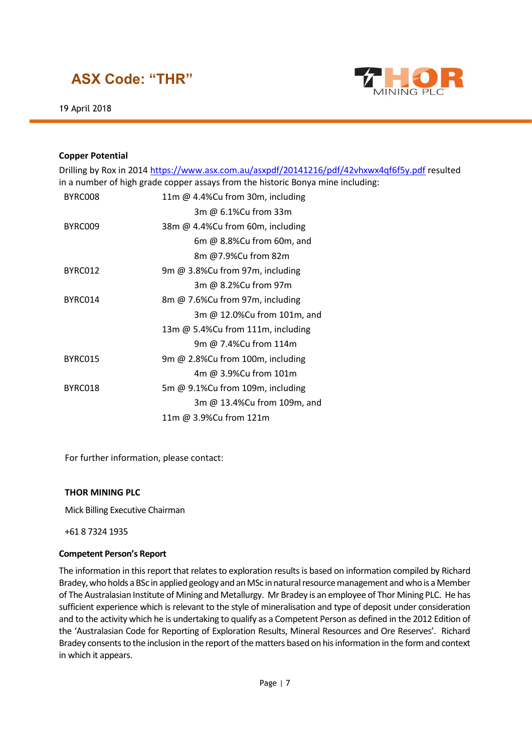



#### **Copper Potential**

|                                                                                 | Drilling by Rox in 2014 https://www.asx.com.au/asxpdf/20141216/pdf/42vhxwx4qf6f5y.pdf resulted |  |  |  |
|---------------------------------------------------------------------------------|------------------------------------------------------------------------------------------------|--|--|--|
| in a number of high grade copper assays from the historic Bonya mine including: |                                                                                                |  |  |  |
| BYRC008                                                                         | 11m @ 4.4%Cu from 30m, including                                                               |  |  |  |
|                                                                                 | 3m @ 6.1%Cu from 33m                                                                           |  |  |  |
| BYRC009                                                                         | 38m @ 4.4%Cu from 60m, including                                                               |  |  |  |
|                                                                                 | 6m $@$ 8.8%Cu from 60m, and                                                                    |  |  |  |
|                                                                                 | 8m @7.9%Cu from 82m                                                                            |  |  |  |
| BYRC012                                                                         | 9m @ 3.8%Cu from 97m, including                                                                |  |  |  |
|                                                                                 | 3m @ 8.2%Cu from 97m                                                                           |  |  |  |
| BYRC014                                                                         | 8m @ 7.6%Cu from 97m, including                                                                |  |  |  |
|                                                                                 | 3m @ 12.0%Cu from 101m, and                                                                    |  |  |  |
|                                                                                 | 13m @ 5.4%Cu from 111m, including                                                              |  |  |  |
|                                                                                 | 9m @ 7.4%Cu from 114m                                                                          |  |  |  |
| BYRC015                                                                         | 9m @ 2.8%Cu from 100m, including                                                               |  |  |  |
|                                                                                 | 4m @ 3.9%Cu from 101m                                                                          |  |  |  |
| BYRC018                                                                         | 5m @ 9.1%Cu from 109m, including                                                               |  |  |  |
|                                                                                 | 3m @ 13.4%Cu from 109m, and                                                                    |  |  |  |
|                                                                                 | 11m @ 3.9%Cu from 121m                                                                         |  |  |  |
|                                                                                 |                                                                                                |  |  |  |

For further information, please contact:

#### **THOR MINING PLC**

Mick Billing Executive Chairman

+61 8 7324 1935

#### **Competent Person's Report**

The information in this report that relates to exploration results is based on information compiled by Richard Bradey, who holds a BSc in applied geology and an MSc in natural resource management and who is a Member of The Australasian Institute of Mining and Metallurgy. Mr Bradey is an employee of Thor Mining PLC. He has sufficient experience which is relevant to the style of mineralisation and type of deposit under consideration and to the activity which he is undertaking to qualify as a Competent Person as defined in the 2012 Edition of the 'Australasian Code for Reporting of Exploration Results, Mineral Resources and Ore Reserves'. Richard Bradey consents to the inclusion in the report of the matters based on his information in the form and context in which it appears.